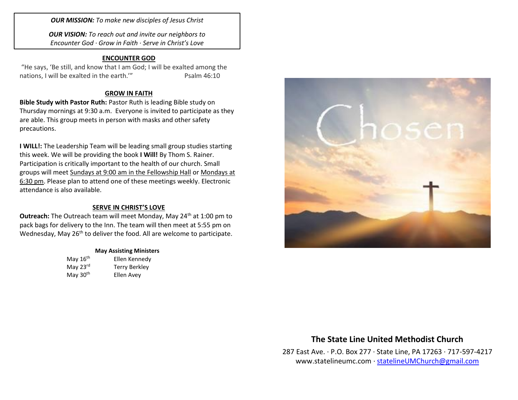*OUR MISSION: To make new disciples of Jesus Christ*

*OUR VISION: To reach out and invite our neighbors to Encounter God · Grow in Faith · Serve in Christ's Love*

### **ENCOUNTER GOD**

"He says, 'Be still, and know that I am God; I will be exalted among the nations, I will be exalted in the earth." Psalm 46:10

### **GROW IN FAITH**

**Bible Study with Pastor Ruth:** Pastor Ruth is leading Bible study on Thursday mornings at 9:30 a.m. Everyone is invited to participate as they are able. This group meets in person with masks and other safety precautions.

**I WILL!:** The Leadership Team will be leading small group studies starting this week. We will be providing the book **I Will!** By Thom S. Rainer. Participation is critically important to the health of our church. Small groups will meet Sundays at 9:00 am in the Fellowship Hall or Mondays at 6:30 pm. Please plan to attend one of these meetings weekly. Electronic attendance is also available.

### **SERVE IN CHRIST'S LOVE**

**Outreach:** The Outreach team will meet Monday, May 24<sup>th</sup> at 1:00 pm to pack bags for delivery to the Inn. The team will then meet at 5:55 pm on Wednesday, May 26<sup>th</sup> to deliver the food. All are welcome to participate.

#### **May Assisting Ministers**

| May 16 <sup>th</sup> | Ellen Kennedy        |
|----------------------|----------------------|
| May 23rd             | <b>Terry Berkley</b> |
| May 30 <sup>th</sup> | Ellen Avey           |



# **The State Line United Methodist Church**

287 East Ave. · P.O. Box 277 · State Line, PA 17263 · 717-597-4217 [www.statelineumc.com](http://www.statelineumc.com/) · [statelineUMChurch@gmail.com](mailto:statelineUMChurch@gmail.com)